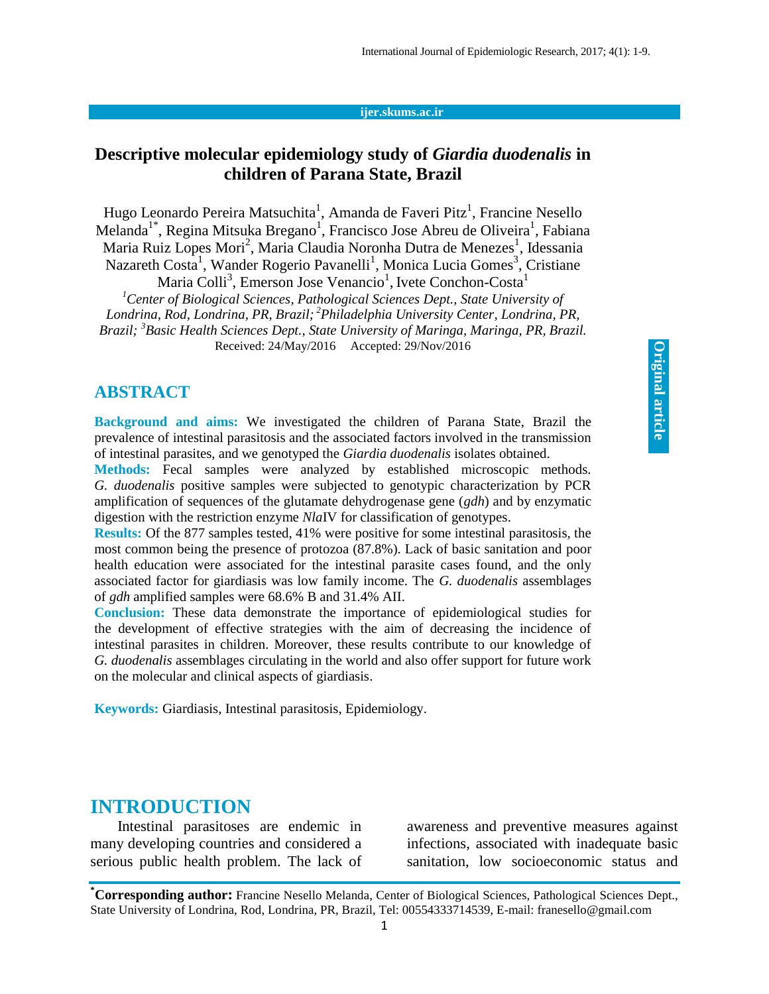#### **ijer.skums.ac.ir**

### **Descriptive molecular epidemiology study of** *Giardia duodenalis* **in children of Parana State, Brazil**

Hugo Leonardo Pereira Matsuchita<sup>1</sup>, Amanda de Faveri Pitz<sup>1</sup>, Francine Nesello Melanda<sup>1\*</sup>, Regina Mitsuka Bregano<sup>1</sup>, Francisco Jose Abreu de Oliveira<sup>1</sup>, Fabiana Maria Ruiz Lopes Mori<sup>2</sup>, Maria Claudia Noronha Dutra de Menezes<sup>1</sup>, Idessania Nazareth Costa<sup>1</sup>, Wander Rogerio Pavanelli<sup>1</sup>, Monica Lucia Gomes<sup>3</sup>, Cristiane

Maria Colli<sup>3</sup>, Emerson Jose Venancio<sup>1</sup>, Ivete Conchon-Costa<sup>1</sup>

*<sup>1</sup>Center of Biological Sciences, Pathological Sciences Dept., State University of Londrina, Rod, Londrina, PR, Brazil; <sup>2</sup>Philadelphia University Center, Londrina, PR, Brazil; <sup>3</sup>Basic Health Sciences Dept., State University of Maringa, Maringa, PR, Brazil.* Received: 24/May/2016 Accepted: 29/Nov/2016

#### **ABSTRACT**

**Background and aims:** We investigated the children of Parana State, Brazil the prevalence of intestinal parasitosis and the associated factors involved in the transmission of intestinal parasites, and we genotyped the *Giardia duodenalis* isolates obtained.

**Methods:** Fecal samples were analyzed by established microscopic methods. *G. duodenalis* positive samples were subjected to genotypic characterization by PCR amplification of sequences of the glutamate dehydrogenase gene (*gdh*) and by enzymatic digestion with the restriction enzyme *Nla*IV for classification of genotypes.

**Results:** Of the 877 samples tested, 41% were positive for some intestinal parasitosis, the most common being the presence of protozoa (87.8%). Lack of basic sanitation and poor health education were associated for the intestinal parasite cases found, and the only associated factor for giardiasis was low family income. The *G. duodenalis* assemblages of *gdh* amplified samples were 68.6% B and 31.4% AII.

**Conclusion:** These data demonstrate the importance of epidemiological studies for the development of effective strategies with the aim of decreasing the incidence of intestinal parasites in children. Moreover, these results contribute to our knowledge of *G. duodenalis* assemblages circulating in the world and also offer support for future work on the molecular and clinical aspects of giardiasis.

**Keywords:** Giardiasis, Intestinal parasitosis, Epidemiology.

#### **INTRODUCTION**

Intestinal parasitoses are endemic in many developing countries and considered a serious public health problem. The lack of

awareness and preventive measures against infections, associated with inadequate basic sanitation, low socioeconomic status and

**<sup>\*</sup>Corresponding author:** Francine Nesello Melanda, Center of Biological Sciences, Pathological Sciences Dept., State University of Londrina, Rod, Londrina, PR, Brazil, Tel: 00554333714539, E-mail: franesello@gmail.com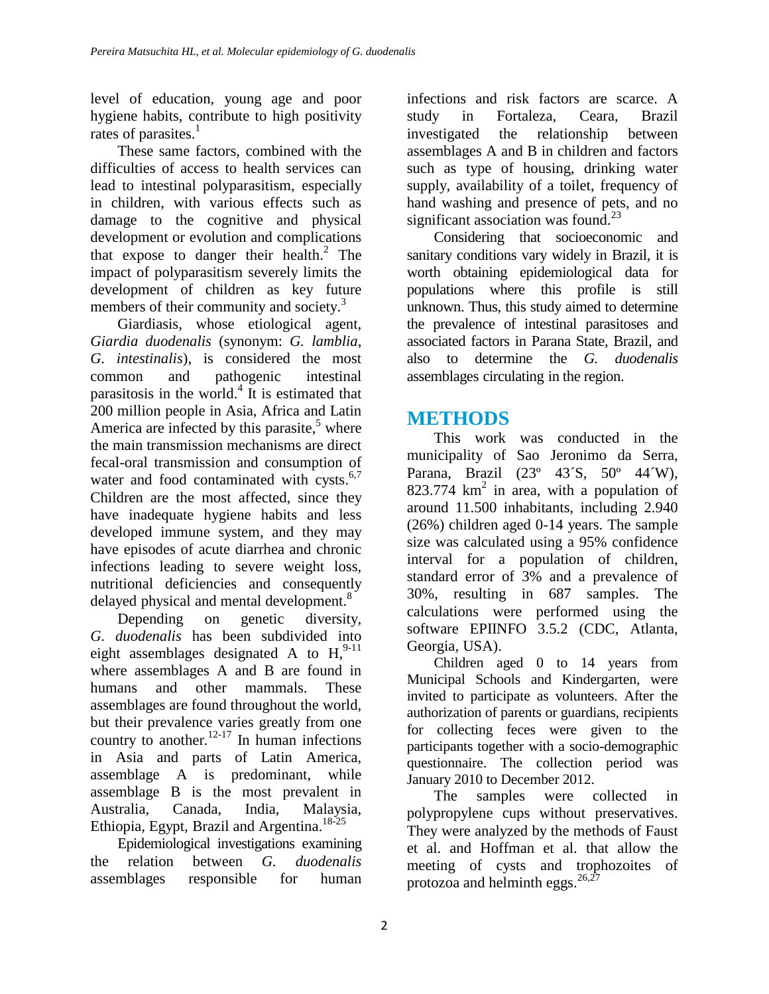level of education, young age and poor hygiene habits, contribute to high positivity rates of parasites.<sup>1</sup>

These same factors, combined with the difficulties of access to health services can lead to intestinal polyparasitism, especially in children, with various effects such as damage to the cognitive and physical development or evolution and complications that expose to danger their health. 2 The impact of polyparasitism severely limits the development of children as key future members of their community and society.<sup>3</sup>

Giardiasis, whose etiological agent, *Giardia duodenalis* (synonym: *G. lamblia*, *G. intestinalis*), is considered the most common and pathogenic intestinal parasitosis in the world.<sup>4</sup> It is estimated that 200 million people in Asia, Africa and Latin America are infected by this parasite, <sup>5</sup> where the main transmission mechanisms are direct fecal-oral transmission and consumption of water and food contaminated with cysts.<sup>6,7</sup> Children are the most affected, since they have inadequate hygiene habits and less developed immune system, and they may have episodes of acute diarrhea and chronic infections leading to severe weight loss, nutritional deficiencies and consequently delayed physical and mental development.<sup>8</sup>

Depending on genetic diversity, *G. duodenalis* has been subdivided into eight assemblages designated A to  $H$ ,  $^{9-11}$ where assemblages A and B are found in humans and other mammals. These assemblages are found throughout the world, but their prevalence varies greatly from one country to another.<sup>12-17</sup> In human infections in Asia and parts of Latin America, assemblage A is predominant, while assemblage B is the most prevalent in Australia, Canada, India, Malaysia, Ethiopia, Egypt, Brazil and Argentina.<sup>18-25</sup>

Epidemiological investigations examining the relation between *G. duodenalis* assemblages responsible for human

infections and risk factors are scarce. A study in Fortaleza, Ceara, Brazil investigated the relationship between assemblages A and B in children and factors such as type of housing, drinking water supply, availability of a toilet, frequency of hand washing and presence of pets, and no significant association was found.<sup>23</sup>

Considering that socioeconomic and sanitary conditions vary widely in Brazil, it is worth obtaining epidemiological data for populations where this profile is still unknown. Thus, this study aimed to determine the prevalence of intestinal parasitoses and associated factors in Parana State, Brazil, and also to determine the *G. duodenalis* assemblages circulating in the region.

# **METHODS**

This work was conducted in the municipality of Sao Jeronimo da Serra, Parana, Brazil (23º 43´S, 50º 44´W), 823.774  $km^2$  in area, with a population of around 11.500 inhabitants, including 2.940 (26%) children aged 0-14 years. The sample size was calculated using a 95% confidence interval for a population of children, standard error of 3% and a prevalence of 30%, resulting in 687 samples. The calculations were performed using the software EPIINFO 3.5.2 (CDC, Atlanta, Georgia, USA).

Children aged 0 to 14 years from Municipal Schools and Kindergarten, were invited to participate as volunteers. After the authorization of parents or guardians, recipients for collecting feces were given to the participants together with a socio-demographic questionnaire. The collection period was January 2010 to December 2012.

The samples were collected in polypropylene cups without preservatives. They were analyzed by the methods of Faust et al. and Hoffman et al. that allow the meeting of cysts and trophozoites of protozoa and helminth eggs. $^{26,27}$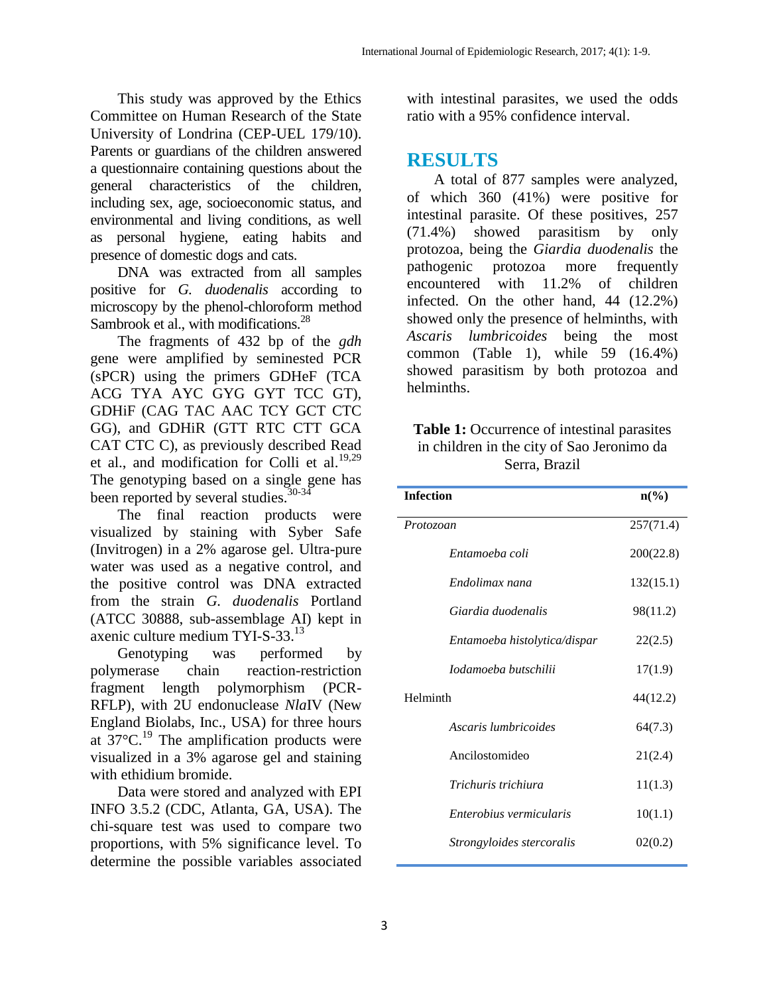This study was approved by the Ethics Committee on Human Research of the State University of Londrina (CEP-UEL 179/10). Parents or guardians of the children answered a questionnaire containing questions about the general characteristics of the children, including sex, age, socioeconomic status, and environmental and living conditions, as well as personal hygiene, eating habits and presence of domestic dogs and cats.

DNA was extracted from all samples positive for *G. duodenalis* according to microscopy by the phenol-chloroform method Sambrook et al., with modifications.<sup>28</sup>

The fragments of 432 bp of the *gdh* gene were amplified by seminested PCR (sPCR) using the primers GDHeF (TCA ACG TYA AYC GYG GYT TCC GT), GDHiF (CAG TAC AAC TCY GCT CTC GG), and GDHiR (GTT RTC CTT GCA CAT CTC C), as previously described Read et al., and modification for Colli et al. $19,29$ The genotyping based on a single gene has been reported by several studies.<sup>30-34</sup>

The final reaction products were visualized by staining with Syber Safe (Invitrogen) in a 2% agarose gel. Ultra-pure water was used as a negative control, and the positive control was DNA extracted from the strain *G. duodenalis* Portland (ATCC 30888, sub-assemblage AI) kept in axenic culture medium TYI-S-33.<sup>13</sup>

Genotyping was performed by polymerase chain reaction-restriction fragment length polymorphism (PCR-RFLP), with 2U endonuclease *Nla*IV (New England Biolabs, Inc., USA) for three hours at  $37^{\circ}$ C.<sup>19</sup> The amplification products were visualized in a 3% agarose gel and staining with ethidium bromide.

Data were stored and analyzed with EPI INFO 3.5.2 (CDC, Atlanta, GA, USA). The chi-square test was used to compare two proportions, with 5% significance level. To determine the possible variables associated with intestinal parasites, we used the odds ratio with a 95% confidence interval.

### **RESULTS**

A total of 877 samples were analyzed, of which 360 (41%) were positive for intestinal parasite. Of these positives, 257 (71.4%) showed parasitism by only protozoa, being the *Giardia duodenalis* the pathogenic protozoa more frequently encountered with 11.2% of children infected. On the other hand, 44 (12.2%) showed only the presence of helminths, with *Ascaris lumbricoides* being the most common (Table 1), while 59 (16.4%) showed parasitism by both protozoa and helminths.

| <b>Table 1:</b> Occurrence of intestinal parasites |
|----------------------------------------------------|
| in children in the city of Sao Jeronimo da         |
| Serra, Brazil                                      |

| <b>Infection</b>             | $n\frac{6}{6}$ |
|------------------------------|----------------|
| Protozoan                    | 257(71.4)      |
| Entamoeba coli               | 200(22.8)      |
| Endolimax nana               | 132(15.1)      |
| Giardia duodenalis           | 98(11.2)       |
| Entamoeba histolytica/dispar | 22(2.5)        |
| Iodamoeba butschilii         | 17(1.9)        |
| Helminth                     | 44(12.2)       |
| Ascaris lumbricoides         | 64(7.3)        |
| Ancilostomideo               | 21(2.4)        |
| Trichuris trichiura          | 11(1.3)        |
| Enterobius vermicularis      | 10(1.1)        |
| Strongyloides stercoralis    | 02(0.2)        |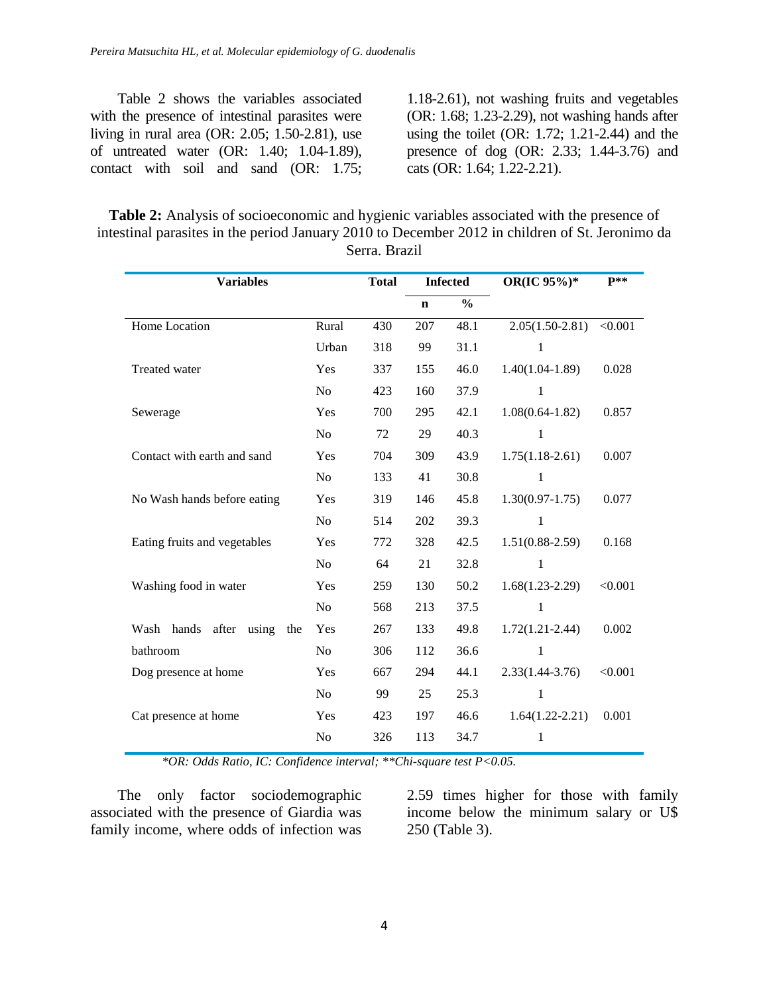Table 2 shows the variables associated with the presence of intestinal parasites were living in rural area (OR: 2.05; 1.50-2.81), use of untreated water (OR: 1.40; 1.04-1.89), contact with soil and sand (OR: 1.75;

1.18-2.61), not washing fruits and vegetables (OR: 1.68; 1.23-2.29), not washing hands after using the toilet (OR: 1.72; 1.21-2.44) and the presence of dog (OR: 2.33; 1.44-3.76) and cats (OR: 1.64; 1.22-2.21).

**Table 2:** Analysis of socioeconomic and hygienic variables associated with the presence of intestinal parasites in the period January 2010 to December 2012 in children of St. Jeronimo da Serra. Brazil

| <b>Variables</b>              |                | <b>Total</b> | <b>Infected</b> |               | OR(IC 95%)*         | $P**$   |
|-------------------------------|----------------|--------------|-----------------|---------------|---------------------|---------|
|                               |                |              | $\mathbf n$     | $\frac{0}{0}$ |                     |         |
| Home Location                 | Rural          | 430          | 207             | 48.1          | $2.05(1.50-2.81)$   | < 0.001 |
|                               | Urban          | 318          | 99              | 31.1          |                     |         |
| Treated water                 | Yes            | 337          | 155             | 46.0          | $1.40(1.04-1.89)$   | 0.028   |
|                               | No             | 423          | 160             | 37.9          | 1                   |         |
| Sewerage                      | Yes            | 700          | 295             | 42.1          | $1.08(0.64 - 1.82)$ | 0.857   |
|                               | No             | 72           | 29              | 40.3          | 1                   |         |
| Contact with earth and sand   | Yes            | 704          | 309             | 43.9          | $1.75(1.18-2.61)$   | 0.007   |
|                               | N <sub>0</sub> | 133          | 41              | 30.8          | 1                   |         |
| No Wash hands before eating   | Yes            | 319          | 146             | 45.8          | $1.30(0.97-1.75)$   | 0.077   |
|                               | No             | 514          | 202             | 39.3          | 1                   |         |
| Eating fruits and vegetables  | Yes            | 772          | 328             | 42.5          | $1.51(0.88-2.59)$   | 0.168   |
|                               | No             | 64           | 21              | 32.8          | 1                   |         |
| Washing food in water         | Yes            | 259          | 130             | 50.2          | $1.68(1.23-2.29)$   | < 0.001 |
|                               | No             | 568          | 213             | 37.5          | 1                   |         |
| Wash hands after using<br>the | Yes            | 267          | 133             | 49.8          | $1.72(1.21 - 2.44)$ | 0.002   |
| bathroom                      | N <sub>o</sub> | 306          | 112             | 36.6          | 1                   |         |
| Dog presence at home          | Yes            | 667          | 294             | 44.1          | $2.33(1.44 - 3.76)$ | < 0.001 |
|                               | No             | 99           | 25              | 25.3          | 1                   |         |
| Cat presence at home          | Yes            | 423          | 197             | 46.6          | $1.64(1.22 - 2.21)$ | 0.001   |
|                               | No             | 326          | 113             | 34.7          | 1                   |         |

*\*OR: Odds Ratio, IC: Confidence interval; \*\*Chi-square test P<0.05.*

The only factor sociodemographic associated with the presence of Giardia was family income, where odds of infection was

2.59 times higher for those with family income below the minimum salary or U\$ 250 (Table 3).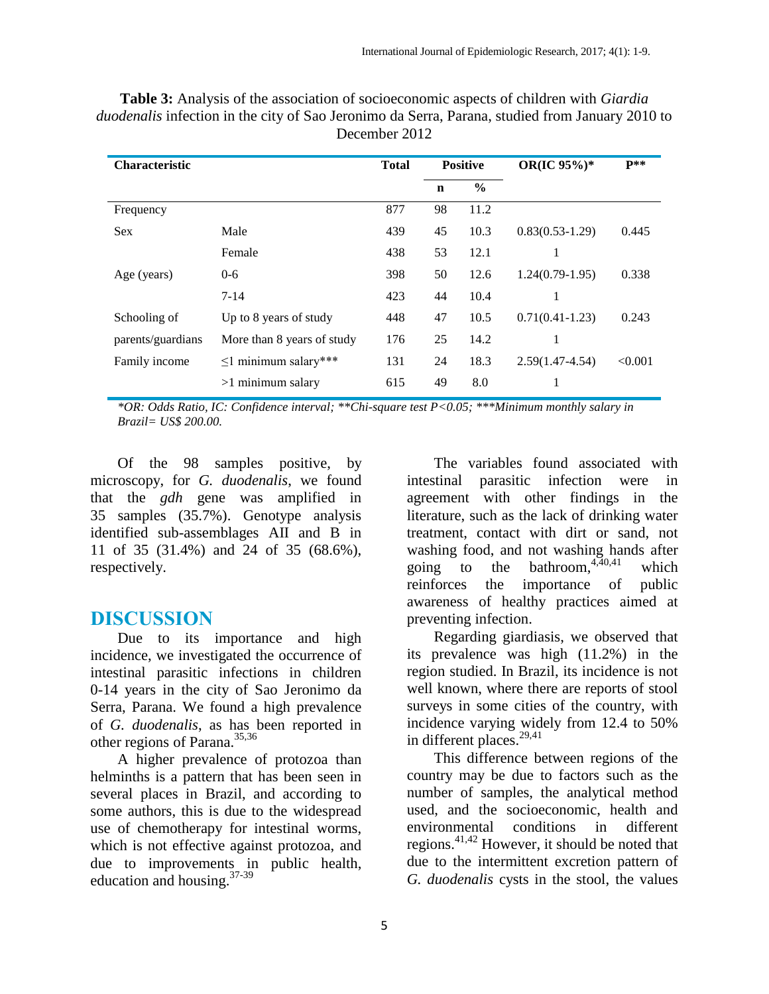| Characteristic    |                            | <b>Total</b> | <b>Positive</b> |               | OR(IC 95%)*         | $P**$   |
|-------------------|----------------------------|--------------|-----------------|---------------|---------------------|---------|
|                   |                            |              | $\mathbf n$     | $\frac{6}{6}$ |                     |         |
| Frequency         |                            | 877          | 98              | 11.2          |                     |         |
| <b>Sex</b>        | Male                       | 439          | 45              | 10.3          | $0.83(0.53-1.29)$   | 0.445   |
|                   | Female                     | 438          | 53              | 12.1          | 1                   |         |
| Age (years)       | $0 - 6$                    | 398          | 50              | 12.6          | $1.24(0.79-1.95)$   | 0.338   |
|                   | $7 - 14$                   | 423          | 44              | 10.4          | 1                   |         |
| Schooling of      | Up to 8 years of study     | 448          | 47              | 10.5          | $0.71(0.41-1.23)$   | 0.243   |
| parents/guardians | More than 8 years of study | 176          | 25              | 14.2          | 1                   |         |
| Family income     | $\leq$ 1 minimum salary*** | 131          | 24              | 18.3          | $2.59(1.47 - 4.54)$ | < 0.001 |
|                   | $>1$ minimum salary        | 615          | 49              | 8.0           | 1                   |         |

**Table 3:** Analysis of the association of socioeconomic aspects of children with *Giardia duodenalis* infection in the city of Sao Jeronimo da Serra, Parana, studied from January 2010 to December 2012

*\*OR: Odds Ratio, IC: Confidence interval; \*\*Chi-square test P<0.05; \*\*\*Minimum monthly salary in Brazil= US\$ 200.00.*

Of the 98 samples positive, by microscopy, for *G. duodenalis*, we found that the *gdh* gene was amplified in 35 samples (35.7%). Genotype analysis identified sub-assemblages AII and B in 11 of 35 (31.4%) and 24 of 35 (68.6%), respectively.

#### **DISCUSSION**

Due to its importance and high incidence, we investigated the occurrence of intestinal parasitic infections in children 0-14 years in the city of Sao Jeronimo da Serra, Parana. We found a high prevalence of *G. duodenalis*, as has been reported in other regions of Parana. 35,36

A higher prevalence of protozoa than helminths is a pattern that has been seen in several places in Brazil, and according to some authors, this is due to the widespread use of chemotherapy for intestinal worms, which is not effective against protozoa, and due to improvements in public health, education and housing.<sup>37-39</sup>

The variables found associated with intestinal parasitic infection were in agreement with other findings in the literature, such as the lack of drinking water treatment, contact with dirt or sand, not washing food, and not washing hands after going to the bathroom,  $4,40,41$ which reinforces the importance of public awareness of healthy practices aimed at preventing infection.

Regarding giardiasis, we observed that its prevalence was high (11.2%) in the region studied. In Brazil, its incidence is not well known, where there are reports of stool surveys in some cities of the country, with incidence varying widely from 12.4 to 50% in different places. 29,41

This difference between regions of the country may be due to factors such as the number of samples, the analytical method used, and the socioeconomic, health and environmental conditions in different regions. 41,42 However, it should be noted that due to the intermittent excretion pattern of *G. duodenalis* cysts in the stool, the values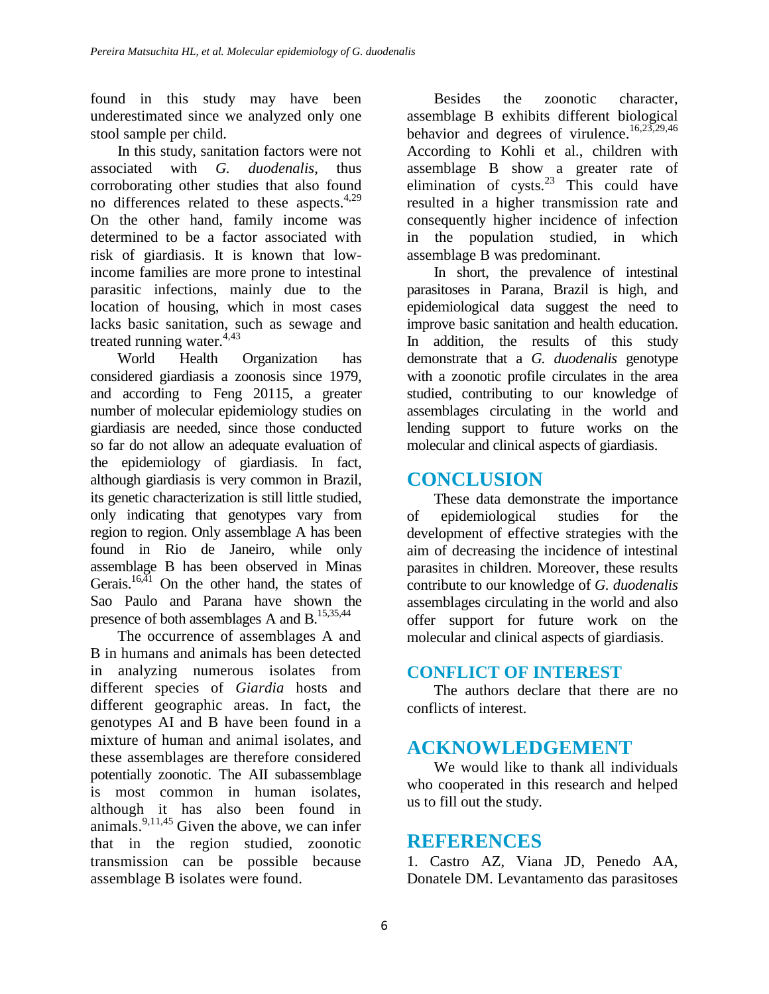found in this study may have been underestimated since we analyzed only one stool sample per child.

In this study, sanitation factors were not associated with *G. duodenalis*, thus corroborating other studies that also found no differences related to these aspects.<sup>4,29</sup> On the other hand, family income was determined to be a factor associated with risk of giardiasis. It is known that lowincome families are more prone to intestinal parasitic infections, mainly due to the location of housing, which in most cases lacks basic sanitation, such as sewage and treated running water.<sup>4,43</sup>

World Health Organization has considered giardiasis a zoonosis since 1979, and according to Feng 20115, a greater number of molecular epidemiology studies on giardiasis are needed, since those conducted so far do not allow an adequate evaluation of the epidemiology of giardiasis. In fact, although giardiasis is very common in Brazil, its genetic characterization is still little studied, only indicating that genotypes vary from region to region. Only assemblage A has been found in Rio de Janeiro, while only assemblage B has been observed in Minas Gerais.<sup>16,41</sup> On the other hand, the states of Sao Paulo and Parana have shown the presence of both assemblages A and B.15,35,44

The occurrence of assemblages A and B in humans and animals has been detected in analyzing numerous isolates from different species of *Giardia* hosts and different geographic areas. In fact, the genotypes AI and B have been found in a mixture of human and animal isolates, and these assemblages are therefore considered potentially zoonotic. The AII subassemblage is most common in human isolates, although it has also been found in animals.<sup>9,11,45</sup> Given the above, we can infer that in the region studied, zoonotic transmission can be possible because assemblage B isolates were found.

Besides the zoonotic character, assemblage B exhibits different biological behavior and degrees of virulence. 16,23,29,46 According to Kohli et al., children with assemblage B show a greater rate of elimination of  $cysts.<sup>23</sup>$  This could have resulted in a higher transmission rate and consequently higher incidence of infection in the population studied, in which assemblage B was predominant.

In short, the prevalence of intestinal parasitoses in Parana, Brazil is high, and epidemiological data suggest the need to improve basic sanitation and health education. In addition, the results of this study demonstrate that a *G. duodenalis* genotype with a zoonotic profile circulates in the area studied, contributing to our knowledge of assemblages circulating in the world and lending support to future works on the molecular and clinical aspects of giardiasis.

## **CONCLUSION**

These data demonstrate the importance of epidemiological studies for the development of effective strategies with the aim of decreasing the incidence of intestinal parasites in children. Moreover, these results contribute to our knowledge of *G. duodenalis* assemblages circulating in the world and also offer support for future work on the molecular and clinical aspects of giardiasis.

#### **CONFLICT OF INTEREST**

The authors declare that there are no conflicts of interest.

# **ACKNOWLEDGEMENT**

We would like to thank all individuals who cooperated in this research and helped us to fill out the study.

### **REFERENCES**

1. Castro AZ, Viana JD, Penedo AA, Donatele DM. Levantamento das parasitoses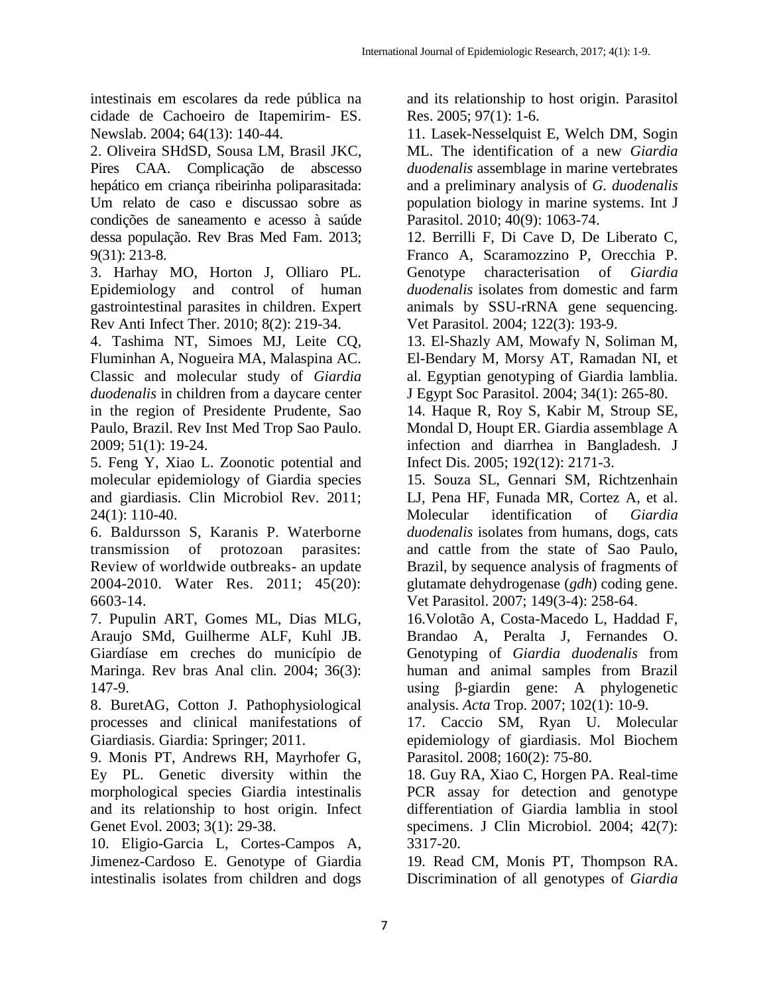intestinais em escolares da rede pública na cidade de Cachoeiro de Itapemirim- ES. Newslab. 2004; 64(13): 140-44.

2. Oliveira SHdSD, Sousa LM, Brasil JKC, Pires CAA. Complicação de abscesso hepático em criança ribeirinha poliparasitada: Um relato de caso e discussao sobre as condições de saneamento e acesso à saúde dessa população. Rev Bras Med Fam. 2013; 9(31): 213-8.

3. Harhay MO, Horton J, Olliaro PL. Epidemiology and control of human gastrointestinal parasites in children. Expert Rev Anti Infect Ther. 2010; 8(2): 219-34.

4. Tashima NT, Simoes MJ, Leite CQ, Fluminhan A, Nogueira MA, Malaspina AC. Classic and molecular study of *Giardia duodenalis* in children from a daycare center in the region of Presidente Prudente, Sao Paulo, Brazil. Rev Inst Med Trop Sao Paulo. 2009; 51(1): 19-24.

5. Feng Y, Xiao L. Zoonotic potential and molecular epidemiology of Giardia species and giardiasis. Clin Microbiol Rev. 2011; 24(1): 110-40.

6. Baldursson S, Karanis P. Waterborne transmission of protozoan parasites: Review of worldwide outbreaks- an update 2004-2010. Water Res. 2011; 45(20): 6603-14.

7. Pupulin ART, Gomes ML, Dias MLG, Araujo SMd, Guilherme ALF, Kuhl JB. Giardíase em creches do município de Maringa. Rev bras Anal clin. 2004; 36(3): 147-9.

8. BuretAG, Cotton J. Pathophysiological processes and clinical manifestations of Giardiasis. Giardia: Springer; 2011.

9. Monis PT, Andrews RH, Mayrhofer G, Ey PL. Genetic diversity within the morphological species Giardia intestinalis and its relationship to host origin. Infect Genet Evol. 2003; 3(1): 29-38.

10. Eligio-Garcia L, Cortes-Campos A, Jimenez-Cardoso E. Genotype of Giardia intestinalis isolates from children and dogs

and its relationship to host origin. Parasitol Res. 2005; 97(1): 1-6.

11. Lasek-Nesselquist E, Welch DM, Sogin ML. The identification of a new *Giardia duodenalis* assemblage in marine vertebrates and a preliminary analysis of *G. duodenalis* population biology in marine systems. Int J Parasitol. 2010; 40(9): 1063-74.

12. Berrilli F, Di Cave D, De Liberato C, Franco A, Scaramozzino P, Orecchia P. Genotype characterisation of *Giardia duodenalis* isolates from domestic and farm animals by SSU-rRNA gene sequencing. Vet Parasitol. 2004; 122(3): 193-9.

13. El-Shazly AM, Mowafy N, Soliman M, El-Bendary M, Morsy AT, Ramadan NI, et al. Egyptian genotyping of Giardia lamblia. J Egypt Soc Parasitol. 2004; 34(1): 265-80.

14. Haque R, Roy S, Kabir M, Stroup SE, Mondal D, Houpt ER. Giardia assemblage A infection and diarrhea in Bangladesh. J Infect Dis. 2005; 192(12): 2171-3.

15. Souza SL, Gennari SM, Richtzenhain LJ, Pena HF, Funada MR, Cortez A, et al. Molecular identification of *Giardia duodenalis* isolates from humans, dogs, cats and cattle from the state of Sao Paulo, Brazil, by sequence analysis of fragments of glutamate dehydrogenase (*gdh*) coding gene. Vet Parasitol. 2007; 149(3-4): 258-64.

16.Volotão A, Costa-Macedo L, Haddad F, Brandao A, Peralta J, Fernandes O. Genotyping of *Giardia duodenalis* from human and animal samples from Brazil using β-giardin gene: A phylogenetic analysis. *Acta* Trop. 2007; 102(1): 10-9.

17. Caccio SM, Ryan U. Molecular epidemiology of giardiasis. Mol Biochem Parasitol. 2008; 160(2): 75-80.

18. Guy RA, Xiao C, Horgen PA. Real-time PCR assay for detection and genotype differentiation of Giardia lamblia in stool specimens. J Clin Microbiol. 2004; 42(7): 3317-20.

19. Read CM, Monis PT, Thompson RA. Discrimination of all genotypes of *Giardia*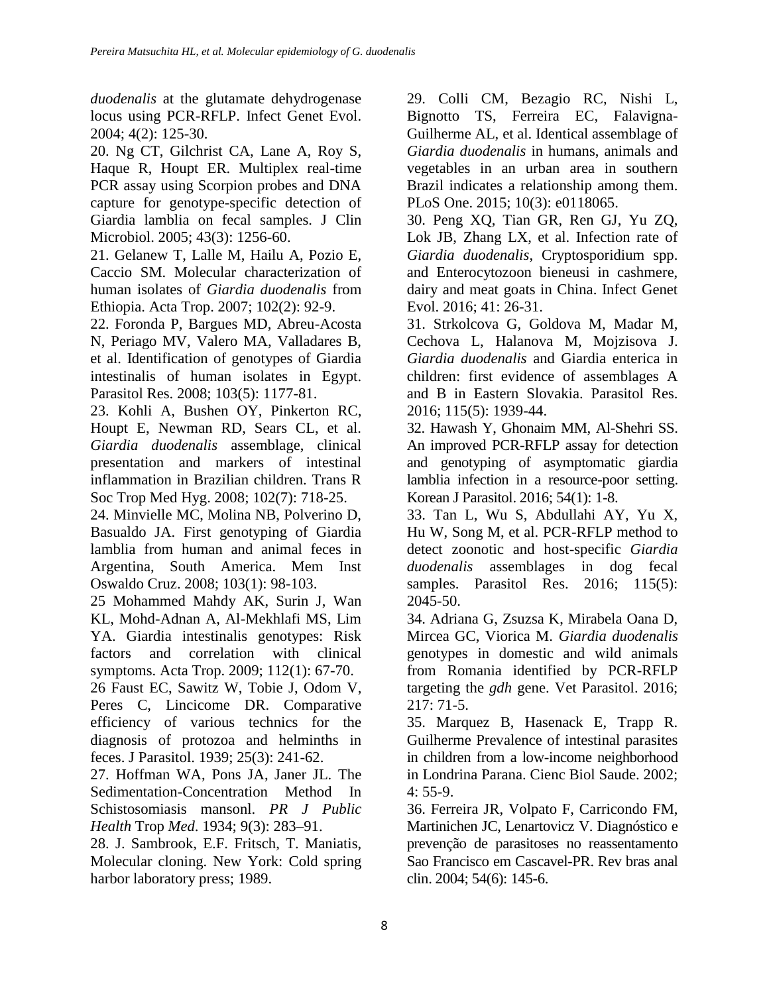*duodenalis* at the glutamate dehydrogenase locus using PCR-RFLP. Infect Genet Evol. 2004; 4(2): 125-30.

20. Ng CT, Gilchrist CA, Lane A, Roy S, Haque R, Houpt ER. Multiplex real-time PCR assay using Scorpion probes and DNA capture for genotype-specific detection of Giardia lamblia on fecal samples. J Clin Microbiol. 2005; 43(3): 1256-60.

21. Gelanew T, Lalle M, Hailu A, Pozio E, Caccio SM. Molecular characterization of human isolates of *Giardia duodenalis* from Ethiopia. Acta Trop. 2007; 102(2): 92-9.

22. Foronda P, Bargues MD, Abreu-Acosta N, Periago MV, Valero MA, Valladares B, et al. Identification of genotypes of Giardia intestinalis of human isolates in Egypt. Parasitol Res. 2008; 103(5): 1177-81.

23. Kohli A, Bushen OY, Pinkerton RC, Houpt E, Newman RD, Sears CL, et al. *Giardia duodenalis* assemblage, clinical presentation and markers of intestinal inflammation in Brazilian children. Trans R Soc Trop Med Hyg. 2008; 102(7): 718-25.

24. Minvielle MC, Molina NB, Polverino D, Basualdo JA. First genotyping of Giardia lamblia from human and animal feces in Argentina, South America. Mem Inst Oswaldo Cruz. 2008; 103(1): 98-103.

25 Mohammed Mahdy AK, Surin J, Wan KL, Mohd-Adnan A, Al-Mekhlafi MS, Lim YA. Giardia intestinalis genotypes: Risk factors and correlation with clinical symptoms. Acta Trop. 2009; 112(1): 67-70.

26 Faust EC, Sawitz W, Tobie J, Odom V, Peres C, Lincicome DR. Comparative efficiency of various technics for the diagnosis of protozoa and helminths in feces. J Parasitol. 1939; 25(3): 241-62.

27. Hoffman WA, Pons JA, Janer JL. The Sedimentation-Concentration Method In Schistosomiasis mansonl. *PR J Public Health* Trop *Med*. 1934; 9(3): 283–91.

28. J. Sambrook, E.F. Fritsch, T. Maniatis, Molecular cloning. New York: Cold spring harbor laboratory press; 1989.

29. Colli CM, Bezagio RC, Nishi L, Bignotto TS, Ferreira EC, Falavigna-Guilherme AL, et al. Identical assemblage of *Giardia duodenalis* in humans, animals and vegetables in an urban area in southern Brazil indicates a relationship among them. PLoS One. 2015; 10(3): e0118065.

30. Peng XQ, Tian GR, Ren GJ, Yu ZQ, Lok JB, Zhang LX, et al. Infection rate of *Giardia duodenalis*, Cryptosporidium spp. and Enterocytozoon bieneusi in cashmere, dairy and meat goats in China. Infect Genet Evol. 2016; 41: 26-31.

31. Strkolcova G, Goldova M, Madar M, Cechova L, Halanova M, Mojzisova J. *Giardia duodenalis* and Giardia enterica in children: first evidence of assemblages A and B in Eastern Slovakia. Parasitol Res. 2016; 115(5): 1939-44.

32. Hawash Y, Ghonaim MM, Al-Shehri SS. An improved PCR-RFLP assay for detection and genotyping of asymptomatic giardia lamblia infection in a resource-poor setting. Korean J Parasitol. 2016; 54(1): 1-8.

33. Tan L, Wu S, Abdullahi AY, Yu X, Hu W, Song M, et al. PCR-RFLP method to detect zoonotic and host-specific *Giardia duodenalis* assemblages in dog fecal samples. Parasitol Res. 2016; 115(5): 2045-50.

34. Adriana G, Zsuzsa K, Mirabela Oana D, Mircea GC, Viorica M. *Giardia duodenalis* genotypes in domestic and wild animals from Romania identified by PCR-RFLP targeting the *gdh* gene. Vet Parasitol. 2016; 217: 71-5.

35. Marquez B, Hasenack E, Trapp R. Guilherme Prevalence of intestinal parasites in children from a low-income neighborhood in Londrina Parana. Cienc Biol Saude. 2002; 4: 55-9.

36. Ferreira JR, Volpato F, Carricondo FM, Martinichen JC, Lenartovicz V. Diagnóstico e prevenção de parasitoses no reassentamento Sao Francisco em Cascavel-PR. Rev bras anal clin. 2004; 54(6): 145-6.